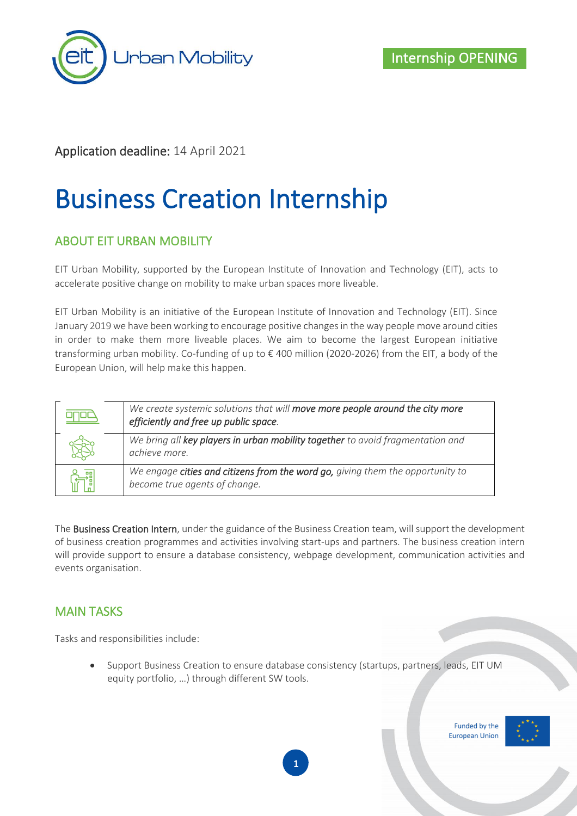

### Application deadline: 14 April 2021

# Business Creation Internship

#### ABOUT EIT URBAN MOBILITY

EIT Urban Mobility, supported by the European Institute of Innovation and Technology (EIT), acts to accelerate positive change on mobility to make urban spaces more liveable.

EIT Urban Mobility is an initiative of the European Institute of Innovation and Technology (EIT). Since January 2019 we have been working to encourage positive changes in the way people move around cities in order to make them more liveable places. We aim to become the largest European initiative transforming urban mobility. Co-funding of up to € 400 million (2020-2026) from the EIT, a body of the European Union, will help make this happen.

| We create systemic solutions that will move more people around the city more<br>efficiently and free up public space. |
|-----------------------------------------------------------------------------------------------------------------------|
| We bring all key players in urban mobility together to avoid fragmentation and<br>achieve more.                       |
| We engage cities and citizens from the word go, giving them the opportunity to<br>become true agents of change.       |

The Business Creation Intern, under the guidance of the Business Creation team, will support the development of business creation programmes and activities involving start-ups and partners. The business creation intern will provide support to ensure a database consistency, webpage development, communication activities and events organisation.

#### MAIN TASKS

Tasks and responsibilities include:

• Support Business Creation to ensure database consistency (startups, partners, leads, EIT UM equity portfolio, …) through different SW tools.

> Funded by the **European Union**



**1**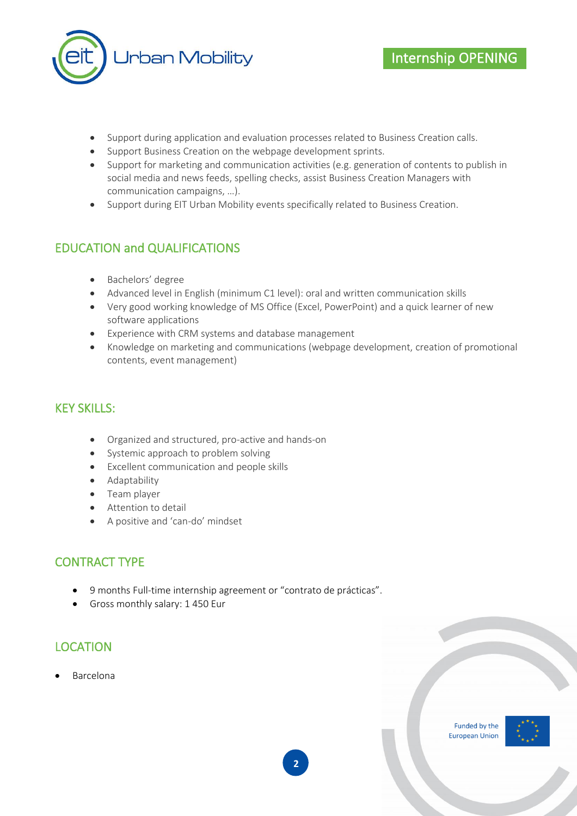

- Support during application and evaluation processes related to Business Creation calls.
- Support Business Creation on the webpage development sprints.
- Support for marketing and communication activities (e.g. generation of contents to publish in social media and news feeds, spelling checks, assist Business Creation Managers with communication campaigns, …).
- Support during EIT Urban Mobility events specifically related to Business Creation.

## EDUCATION and QUALIFICATIONS

- Bachelors' degree
- Advanced level in English (minimum C1 level): oral and written communication skills
- Very good working knowledge of MS Office (Excel, PowerPoint) and a quick learner of new software applications
- Experience with CRM systems and database management
- Knowledge on marketing and communications (webpage development, creation of promotional contents, event management)

#### KEY SKILLS:

- Organized and structured, pro-active and hands-on
- Systemic approach to problem solving
- Excellent communication and people skills
- Adaptability
- Team player
- Attention to detail
- A positive and 'can-do' mindset

### CONTRACT TYPE

- 9 months Full-time internship agreement or "contrato de prácticas".
- Gross monthly salary: 1 450 Eur

### LOCATION

• Barcelona